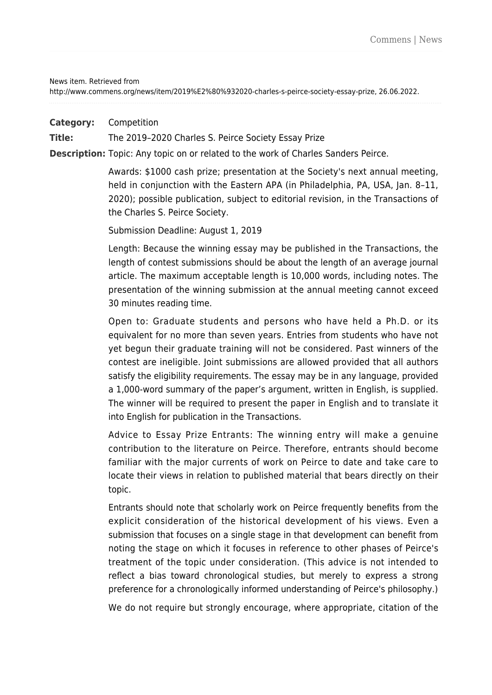News item. Retrieved from

http://www.commens.org/news/item/2019%E2%80%932020-charles-s-peirce-society-essay-prize, 26.06.2022.

**Category:** Competition

**Title:** The 2019–2020 Charles S. Peirce Society Essay Prize

**Description:** Topic: Any topic on or related to the work of Charles Sanders Peirce.

Awards: \$1000 cash prize; presentation at the Society's next annual meeting, held in conjunction with the Eastern APA (in Philadelphia, PA, USA, Jan. 8–11, 2020); possible publication, subject to editorial revision, in the Transactions of the Charles S. Peirce Society.

Submission Deadline: August 1, 2019

Length: Because the winning essay may be published in the Transactions, the length of contest submissions should be about the length of an average journal article. The maximum acceptable length is 10,000 words, including notes. The presentation of the winning submission at the annual meeting cannot exceed 30 minutes reading time.

Open to: Graduate students and persons who have held a Ph.D. or its equivalent for no more than seven years. Entries from students who have not yet begun their graduate training will not be considered. Past winners of the contest are ineligible. Joint submissions are allowed provided that all authors satisfy the eligibility requirements. The essay may be in any language, provided a 1,000-word summary of the paper's argument, written in English, is supplied. The winner will be required to present the paper in English and to translate it into English for publication in the Transactions.

Advice to Essay Prize Entrants: The winning entry will make a genuine contribution to the literature on Peirce. Therefore, entrants should become familiar with the major currents of work on Peirce to date and take care to locate their views in relation to published material that bears directly on their topic.

Entrants should note that scholarly work on Peirce frequently benefits from the explicit consideration of the historical development of his views. Even a submission that focuses on a single stage in that development can benefit from noting the stage on which it focuses in reference to other phases of Peirce's treatment of the topic under consideration. (This advice is not intended to reflect a bias toward chronological studies, but merely to express a strong preference for a chronologically informed understanding of Peirce's philosophy.)

We do not require but strongly encourage, where appropriate, citation of the